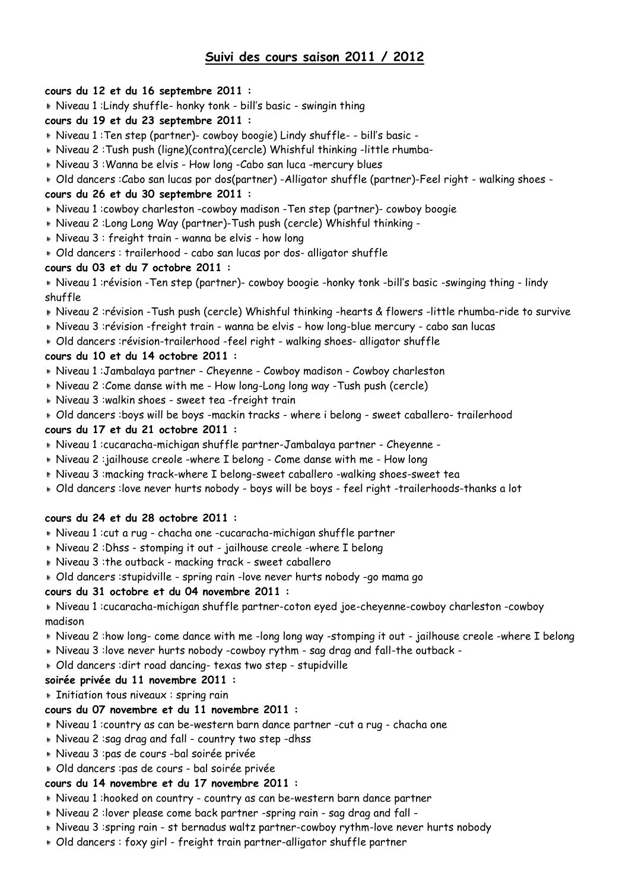# **Suivi des cours saison 2011 / 2012**

### **cours du 12 et du 16 septembre 2011 :**

Niveau 1 :Lindy shuffle- honky tonk - bill's basic - swingin thing

## **cours du 19 et du 23 septembre 2011 :**

- Niveau 1 :Ten step (partner)- cowboy boogie) Lindy shuffle- bill's basic -
- Niveau 2 :Tush push (ligne)(contra)(cercle) Whishful thinking -little rhumba-
- Niveau 3 :Wanna be elvis How long -Cabo san luca -mercury blues
- Old dancers :Cabo san lucas por dos(partner) -Alligator shuffle (partner)-Feel right walking shoes -

## **cours du 26 et du 30 septembre 2011 :**

- Niveau 1 :cowboy charleston -cowboy madison -Ten step (partner)- cowboy boogie
- Niveau 2 :Long Long Way (partner)-Tush push (cercle) Whishful thinking -
- Niveau 3 : freight train wanna be elvis how long
- Old dancers : trailerhood cabo san lucas por dos- alligator shuffle

### **cours du 03 et du 7 octobre 2011 :**

 Niveau 1 :révision -Ten step (partner)- cowboy boogie -honky tonk -bill's basic -swinging thing - lindy shuffle

- Niveau 2 :révision -Tush push (cercle) Whishful thinking -hearts & flowers -little rhumba-ride to survive
- Niveau 3 :révision -freight train wanna be elvis how long-blue mercury cabo san lucas
- Old dancers :révision-trailerhood -feel right walking shoes- alligator shuffle

## **cours du 10 et du 14 octobre 2011 :**

- Niveau 1 :Jambalaya partner Cheyenne Cowboy madison Cowboy charleston
- Niveau 2 :Come danse with me How long-Long long way -Tush push (cercle)
- Niveau 3 :walkin shoes sweet tea -freight train
- Old dancers :boys will be boys -mackin tracks where i belong sweet caballero- trailerhood

### **cours du 17 et du 21 octobre 2011 :**

- Niveau 1 :cucaracha-michigan shuffle partner-Jambalaya partner Cheyenne -
- Niveau 2 :jailhouse creole -where I belong Come danse with me How long
- Niveau 3 :macking track-where I belong-sweet caballero -walking shoes-sweet tea
- Old dancers :love never hurts nobody boys will be boys feel right -trailerhoods-thanks a lot

## **cours du 24 et du 28 octobre 2011 :**

- Niveau 1 :cut a rug chacha one -cucaracha-michigan shuffle partner
- Niveau 2 :Dhss stomping it out jailhouse creole -where I belong
- Niveau 3 :the outback macking track sweet caballero
- Old dancers :stupidville spring rain -love never hurts nobody -go mama go

## **cours du 31 octobre et du 04 novembre 2011 :**

 Niveau 1 :cucaracha-michigan shuffle partner-coton eyed joe-cheyenne-cowboy charleston -cowboy madison

- Niveau 2 :how long- come dance with me -long long way -stomping it out jailhouse creole -where I belong
- Niveau 3 :love never hurts nobody -cowboy rythm sag drag and fall-the outback -
- Old dancers :dirt road dancing- texas two step stupidville

### **soirée privée du 11 novembre 2011 :**

**Initiation tous niveaux : spring rain** 

## **cours du 07 novembre et du 11 novembre 2011 :**

- Niveau 1 :country as can be-western barn dance partner -cut a rug chacha one
- Niveau 2 :sag drag and fall country two step -dhss
- Niveau 3 :pas de cours -bal soirée privée
- Old dancers :pas de cours bal soirée privée

## **cours du 14 novembre et du 17 novembre 2011 :**

- Niveau 1 :hooked on country country as can be-western barn dance partner
- Niveau 2 :lover please come back partner -spring rain sag drag and fall -
- Niveau 3 :spring rain st bernadus waltz partner-cowboy rythm-love never hurts nobody
- Old dancers : foxy girl freight train partner-alligator shuffle partner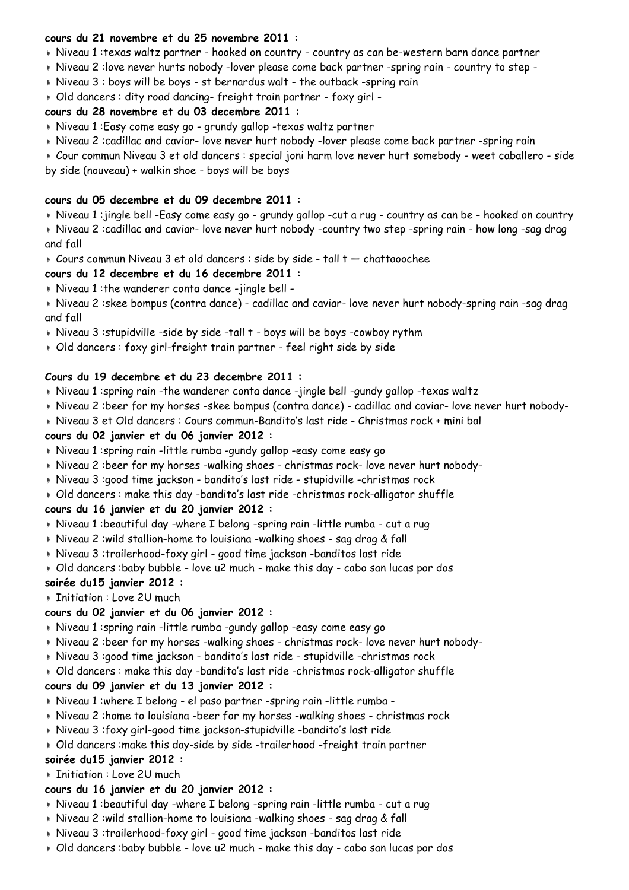#### **cours du 21 novembre et du 25 novembre 2011 :**

- Niveau 1 :texas waltz partner hooked on country country as can be-western barn dance partner
- Niveau 2 :love never hurts nobody -lover please come back partner -spring rain country to step -
- Niveau 3 : boys will be boys st bernardus walt the outback -spring rain
- Old dancers : dity road dancing- freight train partner foxy girl -

### **cours du 28 novembre et du 03 decembre 2011 :**

- Niveau 1 :Easy come easy go grundy gallop -texas waltz partner
- Niveau 2 :cadillac and caviar- love never hurt nobody -lover please come back partner -spring rain
- Cour commun Niveau 3 et old dancers : special joni harm love never hurt somebody weet caballero side by side (nouveau) + walkin shoe - boys will be boys

### **cours du 05 decembre et du 09 decembre 2011 :**

- Niveau 1 :jingle bell -Easy come easy go grundy gallop -cut a rug country as can be hooked on country
- Niveau 2 :cadillac and caviar- love never hurt nobody -country two step -spring rain how long -sag drag and fall
- Cours commun Niveau 3 et old dancers : side by side tall t chattaoochee

### **cours du 12 decembre et du 16 decembre 2011 :**

Niveau 1 :the wanderer conta dance -jingle bell -

 Niveau 2 :skee bompus (contra dance) - cadillac and caviar- love never hurt nobody-spring rain -sag drag and fall

- Niveau 3 :stupidville -side by side -tall t boys will be boys -cowboy rythm
- Old dancers : foxy girl-freight train partner feel right side by side

### **Cours du 19 decembre et du 23 decembre 2011 :**

- Niveau 1 :spring rain -the wanderer conta dance -jingle bell -gundy gallop -texas waltz
- Niveau 2 :beer for my horses -skee bompus (contra dance) cadillac and caviar- love never hurt nobody-
- Niveau 3 et Old dancers : Cours commun-Bandito's last ride Christmas rock + mini bal

### **cours du 02 janvier et du 06 janvier 2012 :**

- Niveau 1 :spring rain -little rumba -gundy gallop -easy come easy go
- Niveau 2 :beer for my horses -walking shoes christmas rock- love never hurt nobody-
- Niveau 3 :good time jackson bandito's last ride stupidville -christmas rock
- Old dancers : make this day -bandito's last ride -christmas rock-alligator shuffle **cours du 16 janvier et du 20 janvier 2012 :**
- Niveau 1 :beautiful day -where I belong -spring rain -little rumba cut a rug
- Niveau 2 :wild stallion-home to louisiana -walking shoes sag drag & fall
- Niveau 3 :trailerhood-foxy girl good time jackson -banditos last ride
- Old dancers :baby bubble love u2 much make this day cabo san lucas por dos **soirée du15 janvier 2012 :**
- **Initiation : Love 2U much**

### **cours du 02 janvier et du 06 janvier 2012 :**

- Niveau 1 :spring rain -little rumba -gundy gallop -easy come easy go
- Niveau 2 :beer for my horses -walking shoes christmas rock- love never hurt nobody-
- Niveau 3 :good time jackson bandito's last ride stupidville -christmas rock
- Old dancers : make this day -bandito's last ride -christmas rock-alligator shuffle

### **cours du 09 janvier et du 13 janvier 2012 :**

- Niveau 1 :where I belong el paso partner -spring rain -little rumba -
- Niveau 2 :home to louisiana -beer for my horses -walking shoes christmas rock
- Niveau 3 :foxy girl-good time jackson-stupidville -bandito's last ride
- Old dancers :make this day-side by side -trailerhood -freight train partner

## **soirée du15 janvier 2012 :**

**Fig. 1.** Initiation: Love 2U much

### **cours du 16 janvier et du 20 janvier 2012 :**

- Niveau 1 :beautiful day -where I belong -spring rain -little rumba cut a rug
- Niveau 2 :wild stallion-home to louisiana -walking shoes sag drag & fall
- Niveau 3 :trailerhood-foxy girl good time jackson -banditos last ride
- Old dancers :baby bubble love u2 much make this day cabo san lucas por dos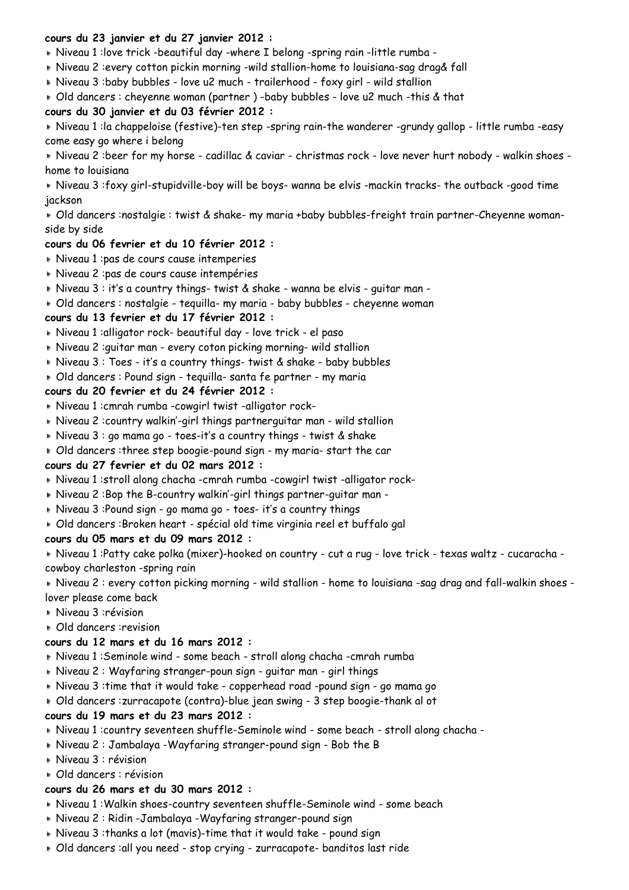### **cours du 23 janvier et du 27 janvier 2012 :**

Niveau 1 :love trick -beautiful day -where I belong -spring rain -little rumba -

- Niveau 2 :every cotton pickin morning -wild stallion-home to louisiana-sag drag& fall
- Niveau 3 :baby bubbles love u2 much trailerhood foxy girl wild stallion
- Old dancers : cheyenne woman (partner ) -baby bubbles love u2 much -this & that

### **cours du 30 janvier et du 03 février 2012 :**

 Niveau 1 :la chappeloise (festive)-ten step -spring rain-the wanderer -grundy gallop - little rumba -easy come easy go where i belong

 Niveau 2 :beer for my horse - cadillac & caviar - christmas rock - love never hurt nobody - walkin shoes home to louisiana

 Niveau 3 :foxy girl-stupidville-boy will be boys- wanna be elvis -mackin tracks- the outback -good time jackson

 Old dancers :nostalgie : twist & shake- my maria +baby bubbles-freight train partner-Cheyenne womanside by side

### **cours du 06 fevrier et du 10 février 2012 :**

- Niveau 1 :pas de cours cause intemperies
- Niveau 2 :pas de cours cause intempéries
- Niveau 3 : it's a country things- twist & shake wanna be elvis guitar man -
- Old dancers : nostalgie tequilla- my maria baby bubbles cheyenne woman

#### **cours du 13 fevrier et du 17 février 2012 :**

- Niveau 1 :alligator rock- beautiful day love trick el paso
- Niveau 2 :guitar man every coton picking morning- wild stallion
- Niveau 3 : Toes it's a country things- twist & shake baby bubbles
- Old dancers : Pound sign tequilla- santa fe partner my maria

#### **cours du 20 fevrier et du 24 février 2012 :**

- Niveau 1 :cmrah rumba -cowgirl twist -alligator rock-
- Niveau 2 :country walkin'-girl things partnerguitar man wild stallion
- Niveau 3 : go mama go toes-it's a country things twist & shake
- Old dancers :three step boogie-pound sign my maria- start the car

### **cours du 27 fevrier et du 02 mars 2012 :**

- Niveau 1 :stroll along chacha -cmrah rumba -cowgirl twist -alligator rock-
- Niveau 2 :Bop the B-country walkin'-girl things partner-guitar man -
- Niveau 3 :Pound sign go mama go toes- it's a country things
- Old dancers :Broken heart spécial old time virginia reel et buffalo gal

#### **cours du 05 mars et du 09 mars 2012 :**

 Niveau 1 :Patty cake polka (mixer)-hooked on country - cut a rug - love trick - texas waltz - cucaracha cowboy charleston -spring rain

 Niveau 2 : every cotton picking morning - wild stallion - home to louisiana -sag drag and fall-walkin shoes lover please come back

- Niveau 3 :révision
- Old dancers :revision

### **cours du 12 mars et du 16 mars 2012 :**

- Niveau 1 :Seminole wind some beach stroll along chacha -cmrah rumba
- Niveau 2 : Wayfaring stranger-poun sign guitar man girl things
- Niveau 3 :time that it would take copperhead road -pound sign go mama go
- Old dancers :zurracapote (contra)-blue jean swing 3 step boogie-thank al ot

### **cours du 19 mars et du 23 mars 2012 :**

- Niveau 1 :country seventeen shuffle-Seminole wind some beach stroll along chacha -
- Niveau 2 : Jambalaya -Wayfaring stranger-pound sign Bob the B
- Niveau 3 : révision

### Old dancers : révision

### **cours du 26 mars et du 30 mars 2012 :**

- Niveau 1 :Walkin shoes-country seventeen shuffle-Seminole wind some beach
- Niveau 2 : Ridin -Jambalaya -Wayfaring stranger-pound sign
- Niveau 3 :thanks a lot (mavis)-time that it would take pound sign
- Old dancers :all you need stop crying zurracapote- banditos last ride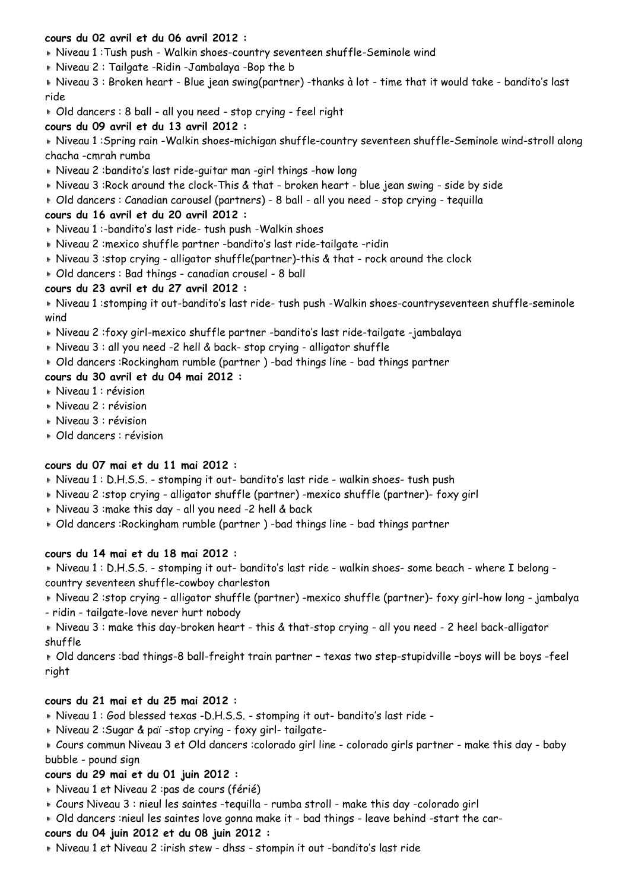### **cours du 02 avril et du 06 avril 2012 :**

Niveau 1 :Tush push - Walkin shoes-country seventeen shuffle-Seminole wind

Niveau 2 : Tailgate -Ridin -Jambalaya -Bop the b

 Niveau 3 : Broken heart - Blue jean swing(partner) -thanks à lot - time that it would take - bandito's last ride

Old dancers : 8 ball - all you need - stop crying - feel right

### **cours du 09 avril et du 13 avril 2012 :**

 Niveau 1 :Spring rain -Walkin shoes-michigan shuffle-country seventeen shuffle-Seminole wind-stroll along chacha -cmrah rumba

- Niveau 2 :bandito's last ride-guitar man -girl things -how long
- Niveau 3 :Rock around the clock-This & that broken heart blue jean swing side by side
- Old dancers : Canadian carousel (partners) 8 ball all you need stop crying tequilla

## **cours du 16 avril et du 20 avril 2012 :**

- Niveau 1 :-bandito's last ride- tush push -Walkin shoes
- Niveau 2 :mexico shuffle partner -bandito's last ride-tailgate -ridin
- Niveau 3 :stop crying alligator shuffle(partner)-this & that rock around the clock
- Old dancers : Bad things canadian crousel 8 ball

## **cours du 23 avril et du 27 avril 2012 :**

 Niveau 1 :stomping it out-bandito's last ride- tush push -Walkin shoes-countryseventeen shuffle-seminole wind

- Niveau 2 :foxy girl-mexico shuffle partner -bandito's last ride-tailgate -jambalaya
- Niveau 3 : all you need -2 hell & back- stop crying alligator shuffle
- Old dancers :Rockingham rumble (partner ) -bad things line bad things partner

## **cours du 30 avril et du 04 mai 2012 :**

- Niveau 1 : révision
- Niveau 2 : révision
- Niveau 3 : révision
- Old dancers : révision

### **cours du 07 mai et du 11 mai 2012 :**

- Niveau 1 : D.H.S.S. stomping it out- bandito's last ride walkin shoes- tush push
- Niveau 2 :stop crying alligator shuffle (partner) -mexico shuffle (partner)- foxy girl
- Niveau 3 :make this day all you need -2 hell & back
- Old dancers :Rockingham rumble (partner ) -bad things line bad things partner

## **cours du 14 mai et du 18 mai 2012 :**

 Niveau 1 : D.H.S.S. - stomping it out- bandito's last ride - walkin shoes- some beach - where I belong country seventeen shuffle-cowboy charleston

 Niveau 2 :stop crying - alligator shuffle (partner) -mexico shuffle (partner)- foxy girl-how long - jambalya - ridin - tailgate-love never hurt nobody

 Niveau 3 : make this day-broken heart - this & that-stop crying - all you need - 2 heel back-alligator shuffle

 Old dancers :bad things-8 ball-freight train partner – texas two step-stupidville –boys will be boys -feel right

### **cours du 21 mai et du 25 mai 2012 :**

- Niveau 1 : God blessed texas -D.H.S.S. stomping it out- bandito's last ride -
- Niveau 2 :Sugar & paï -stop crying foxy girl- tailgate-
- Cours commun Niveau 3 et Old dancers :colorado girl line colorado girls partner make this day baby bubble - pound sign

## **cours du 29 mai et du 01 juin 2012 :**

- Niveau 1 et Niveau 2 :pas de cours (férié)
- Cours Niveau 3 : nieul les saintes -tequilla rumba stroll make this day -colorado girl
- Old dancers :nieul les saintes love gonna make it bad things leave behind -start the car-

## **cours du 04 juin 2012 et du 08 juin 2012 :**

Niveau 1 et Niveau 2 :irish stew - dhss - stompin it out -bandito's last ride